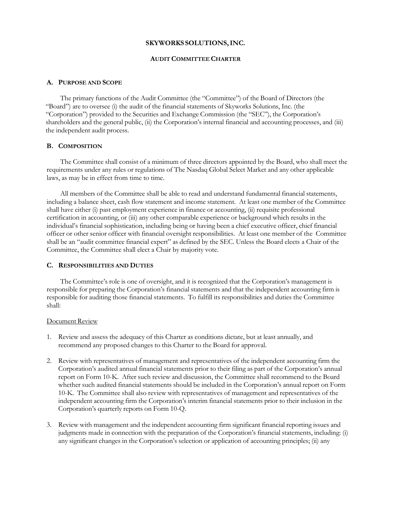### **SKYWORKS SOLUTIONS,INC.**

## **AUDIT COMMITTEE CHARTER**

### **A. PURPOSE AND SCOPE**

The primary functions of the Audit Committee (the "Committee") of the Board of Directors (the "Board") are to oversee (i) the audit of the financial statements of Skyworks Solutions, Inc. (the "Corporation") provided to the Securities and Exchange Commission (the "SEC"), the Corporation's shareholders and the general public, (ii) the Corporation's internal financial and accounting processes, and (iii) the independent audit process.

# **B. COMPOSITION**

The Committee shall consist of a minimum of three directors appointed by the Board, who shall meet the requirements under any rules or regulations of The Nasdaq Global Select Market and any other applicable laws, as may be in effect from time to time.

All members of the Committee shall be able to read and understand fundamental financial statements, including a balance sheet, cash flow statement and income statement. At least one member of the Committee shall have either (i) past employment experience in finance or accounting, (ii) requisite professional certification in accounting, or (iii) any other comparable experience or background which results in the individual's financial sophistication, including being or having been a chief executive officer, chief financial officer or other senior officer with financial oversight responsibilities. At least one member of the Committee shall be an "audit committee financial expert" as defined by the SEC. Unless the Board elects a Chair of the Committee, the Committee shall elect a Chair by majority vote.

### **C. RESPONSIBILITIES AND DUTIES**

The Committee's role is one of oversight, and it is recognized that the Corporation's management is responsible for preparing the Corporation's financial statements and that the independent accounting firm is responsible for auditing those financial statements. To fulfill its responsibilities and duties the Committee shall:

#### Document Review

- 1. Review and assess the adequacy of this Charter as conditions dictate, but at least annually, and recommend any proposed changes to this Charter to the Board for approval.
- 2. Review with representatives of management and representatives of the independent accounting firm the Corporation's audited annual financial statements prior to their filing as part of the Corporation's annual report on Form 10-K. After such review and discussion, the Committee shall recommend to the Board whether such audited financial statements should be included in the Corporation's annual report on Form 10-K. The Committee shall also review with representatives of management and representatives of the independent accounting firm the Corporation's interim financial statements prior to their inclusion in the Corporation's quarterly reports on Form 10-Q.
- 3. Review with management and the independent accounting firm significant financial reporting issues and judgments made in connection with the preparation of the Corporation's financial statements, including: (i) any significant changes in the Corporation's selection or application of accounting principles; (ii) any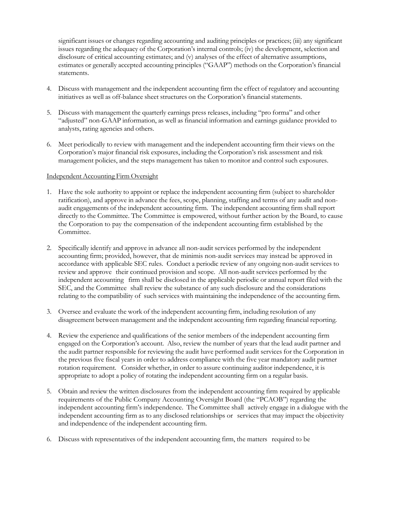significant issues or changes regarding accounting and auditing principles or practices; (iii) any significant issues regarding the adequacy of the Corporation's internal controls; (iv) the development, selection and disclosure of critical accounting estimates; and (v) analyses of the effect of alternative assumptions, estimates or generally accepted accounting principles ("GAAP") methods on the Corporation's financial statements.

- 4. Discuss with management and the independent accounting firm the effect of regulatory and accounting initiatives as well as off-balance sheet structures on the Corporation's financial statements.
- 5. Discuss with management the quarterly earnings press releases, including "pro forma" and other "adjusted" non-GAAP information, as well as financial information and earnings guidance provided to analysts, rating agencies and others.
- 6. Meet periodically to review with management and the independent accounting firm their views on the Corporation's major financial risk exposures, including the Corporation's risk assessment and risk management policies, and the steps management has taken to monitor and control such exposures.

# Independent Accounting Firm Oversight

- 1. Have the sole authority to appoint or replace the independent accounting firm (subject to shareholder ratification), and approve in advance the fees, scope, planning, staffing and terms of any audit and nonaudit engagements of the independent accounting firm. The independent accounting firm shall report directly to the Committee. The Committee is empowered, without further action by the Board, to cause the Corporation to pay the compensation of the independent accounting firm established by the Committee.
- 2. Specifically identify and approve in advance all non-audit services performed by the independent accounting firm; provided, however, that de minimis non-audit services may instead be approved in accordance with applicable SEC rules. Conduct a periodic review of any ongoing non-audit services to review and approve their continued provision and scope. All non-audit services performed by the independent accounting firm shall be disclosed in the applicable periodic or annual report filed with the SEC, and the Committee shall review the substance of any such disclosure and the considerations relating to the compatibility of such services with maintaining the independence of the accounting firm.
- 3. Oversee and evaluate the work of the independent accounting firm, including resolution of any disagreement between management and the independent accounting firm regarding financial reporting.
- 4. Review the experience and qualifications of the senior members of the independent accounting firm engaged on the Corporation's account. Also, review the number of years that the lead audit partner and the audit partner responsible for reviewing the audit have performed audit services for the Corporation in the previous five fiscal years in order to address compliance with the five year mandatory audit partner rotation requirement. Consider whether, in order to assure continuing auditor independence, it is appropriate to adopt a policy of rotating the independent accounting firm on a regular basis.
- 5. Obtain and review the written disclosures from the independent accounting firm required by applicable requirements of the Public Company Accounting Oversight Board (the "PCAOB") regarding the independent accounting firm's independence. The Committee shall actively engage in a dialogue with the independent accounting firm as to any disclosed relationships or services that may impact the objectivity and independence of the independent accounting firm.
- 6. Discuss with representatives of the independent accounting firm, the matters required to be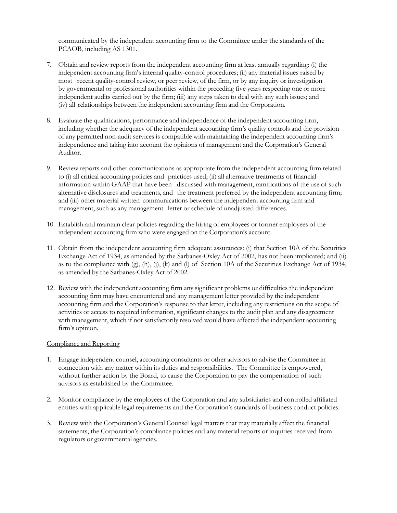communicated by the independent accounting firm to the Committee under the standards of the PCAOB, including AS 1301.

- 7. Obtain and review reports from the independent accounting firm at least annually regarding: (i) the independent accounting firm's internal quality-control procedures; (ii) any material issues raised by most recent quality-control review, or peer review, of the firm, or by any inquiry or investigation by governmental or professional authorities within the preceding five years respecting one or more independent audits carried out by the firm; (iii) any steps taken to deal with any such issues; and (iv) all relationships between the independent accounting firm and the Corporation.
- 8. Evaluate the qualifications, performance and independence of the independent accounting firm, including whether the adequacy of the independent accounting firm's quality controls and the provision of any permitted non-audit services is compatible with maintaining the independent accounting firm's independence and taking into account the opinions of management and the Corporation's General Auditor.
- 9. Review reports and other communications as appropriate from the independent accounting firm related to (i) all critical accounting policies and practices used; (ii) all alternative treatments of financial information within GAAP that have been discussed with management, ramifications of the use of such alternative disclosures and treatments, and the treatment preferred by the independent accounting firm; and (iii) other material written communications between the independent accounting firm and management, such as any management letter or schedule of unadjusted differences.
- 10. Establish and maintain clear policies regarding the hiring of employees or former employees of the independent accounting firm who were engaged on the Corporation's account.
- 11. Obtain from the independent accounting firm adequate assurances: (i) that Section 10A of the Securities Exchange Act of 1934, as amended by the Sarbanes-Oxley Act of 2002, has not been implicated; and (ii) as to the compliance with  $(g)$ ,  $(h)$ ,  $(i)$ ,  $(k)$  and  $(l)$  of Section 10A of the Securities Exchange Act of 1934, as amended by the Sarbanes-Oxley Act of 2002.
- 12. Review with the independent accounting firm any significant problems or difficulties the independent accounting firm may have encountered and any management letter provided by the independent accounting firm and the Corporation's response to that letter, including any restrictions on the scope of activities or access to required information, significant changes to the audit plan and any disagreement with management, which if not satisfactorily resolved would have affected the independent accounting firm's opinion.

## Compliance and Reporting

- 1. Engage independent counsel, accounting consultants or other advisors to advise the Committee in connection with any matter within its duties and responsibilities. The Committee is empowered, without further action by the Board, to cause the Corporation to pay the compensation of such advisors as established by the Committee.
- 2. Monitor compliance by the employees of the Corporation and any subsidiaries and controlled affiliated entities with applicable legal requirements and the Corporation's standards of business conduct policies.
- 3. Review with the Corporation's General Counsel legal matters that may materially affect the financial statements, the Corporation's compliance policies and any material reports or inquiries received from regulators or governmental agencies.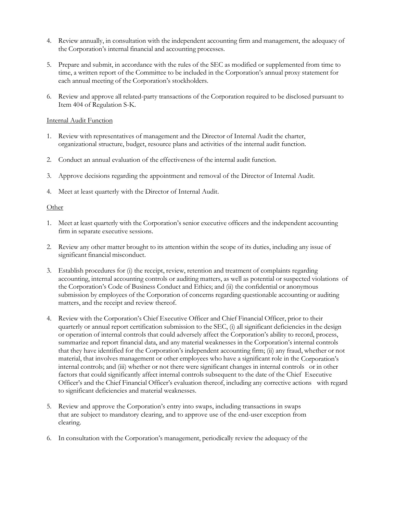- 4. Review annually, in consultation with the independent accounting firm and management, the adequacy of the Corporation's internal financial and accounting processes.
- 5. Prepare and submit, in accordance with the rules of the SEC as modified or supplemented from time to time, a written report of the Committee to be included in the Corporation's annual proxy statement for each annual meeting of the Corporation's stockholders.
- 6. Review and approve all related-party transactions of the Corporation required to be disclosed pursuant to Item 404 of Regulation S-K.

# Internal Audit Function

- 1. Review with representatives of management and the Director of Internal Audit the charter, organizational structure, budget, resource plans and activities of the internal audit function.
- 2. Conduct an annual evaluation of the effectiveness of the internal audit function.
- 3. Approve decisions regarding the appointment and removal of the Director of Internal Audit.
- 4. Meet at least quarterly with the Director of Internal Audit.

# Other

- 1. Meet at least quarterly with the Corporation's senior executive officers and the independent accounting firm in separate executive sessions.
- 2. Review any other matter brought to its attention within the scope of its duties, including any issue of significant financial misconduct.
- 3. Establish procedures for (i) the receipt, review, retention and treatment of complaints regarding accounting, internal accounting controls or auditing matters, as well as potential or suspected violations of the Corporation's Code of Business Conduct and Ethics; and (ii) the confidential or anonymous submission by employees of the Corporation of concerns regarding questionable accounting or auditing matters, and the receipt and review thereof.
- 4. Review with the Corporation's Chief Executive Officer and Chief Financial Officer, prior to their quarterly or annual report certification submission to the SEC, (i) all significant deficiencies in the design or operation of internal controls that could adversely affect the Corporation's ability to record, process, summarize and report financial data, and any material weaknesses in the Corporation's internal controls that they have identified for the Corporation's independent accounting firm; (ii) any fraud, whether or not material, that involves management or other employees who have a significant role in the Corporation's internal controls; and (iii) whether or not there were significant changes in internal controls or in other factors that could significantly affect internal controls subsequent to the date of the Chief Executive Officer's and the Chief Financial Officer's evaluation thereof, including any corrective actions with regard to significant deficiencies and material weaknesses.
- 5. Review and approve the Corporation's entry into swaps, including transactions in swaps that are subject to mandatory clearing, and to approve use of the end-user exception from clearing.
- 6. In consultation with the Corporation's management, periodically review the adequacy of the